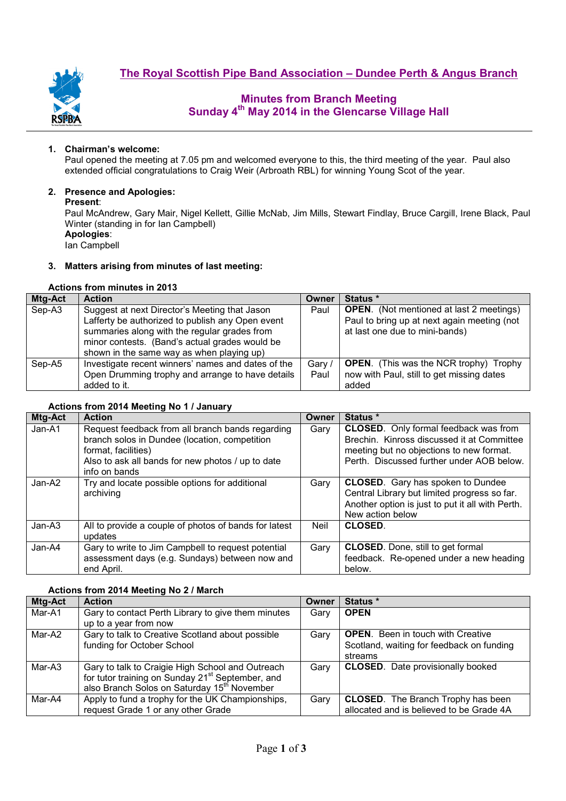

# **Minutes from Branch Meeting Sunday 4th May 2014 in the Glencarse Village Hall**

### **1. Chairman's welcome:**

Paul opened the meeting at 7.05 pm and welcomed everyone to this, the third meeting of the year. Paul also extended official congratulations to Craig Weir (Arbroath RBL) for winning Young Scot of the year.

#### **2. Presence and Apologies:**

#### **Present**:

Paul McAndrew, Gary Mair, Nigel Kellett, Gillie McNab, Jim Mills, Stewart Findlay, Bruce Cargill, Irene Black, Paul Winter (standing in for Ian Campbell) **Apologies**:

Ian Campbell

#### **3. Matters arising from minutes of last meeting:**

## **Actions from minutes in 2013**

| <b>Mtg-Act</b> | <b>Action</b>                                      | Owner  | Status *                                        |
|----------------|----------------------------------------------------|--------|-------------------------------------------------|
| Sep-A3         | Suggest at next Director's Meeting that Jason      | Paul   | <b>OPEN.</b> (Not mentioned at last 2 meetings) |
|                | Lafferty be authorized to publish any Open event   |        | Paul to bring up at next again meeting (not     |
|                | summaries along with the regular grades from       |        | at last one due to mini-bands)                  |
|                | minor contests. (Band's actual grades would be     |        |                                                 |
|                | shown in the same way as when playing up)          |        |                                                 |
| Sep-A5         | Investigate recent winners' names and dates of the | Gary / | <b>OPEN.</b> (This was the NCR trophy) Trophy   |
|                | Open Drumming trophy and arrange to have details   | Paul   | now with Paul, still to get missing dates       |
|                | added to it.                                       |        | added                                           |

#### **Actions from 2014 Meeting No 1 / January**

| Mtg-Act | <b>Action</b>                                                        | Owner | Status *                                                                                   |
|---------|----------------------------------------------------------------------|-------|--------------------------------------------------------------------------------------------|
| Jan-A1  | Request feedback from all branch bands regarding                     | Gary  | <b>CLOSED.</b> Only formal feedback was from<br>Brechin. Kinross discussed it at Committee |
|         | branch solos in Dundee (location, competition<br>format, facilities) |       | meeting but no objections to new format.                                                   |
|         | Also to ask all bands for new photos / up to date                    |       | Perth. Discussed further under AOB below.                                                  |
|         | info on bands                                                        |       |                                                                                            |
| Jan-A2  | Try and locate possible options for additional                       | Gary  | <b>CLOSED.</b> Gary has spoken to Dundee                                                   |
|         | archiving                                                            |       | Central Library but limited progress so far.                                               |
|         |                                                                      |       | Another option is just to put it all with Perth.                                           |
|         |                                                                      |       | New action below                                                                           |
| Jan-A3  | All to provide a couple of photos of bands for latest                | Neil  | <b>CLOSED</b>                                                                              |
|         | updates                                                              |       |                                                                                            |
| Jan-A4  | Gary to write to Jim Campbell to request potential                   | Gary  | <b>CLOSED.</b> Done, still to get formal                                                   |
|         | assessment days (e.g. Sundays) between now and                       |       | feedback. Re-opened under a new heading                                                    |
|         | end April.                                                           |       | below.                                                                                     |

#### **Actions from 2014 Meeting No 2 / March**

| Mtg-Act | <b>Action</b>                                                                                                                                                               | Owner | Status *                                                                                         |  |  |
|---------|-----------------------------------------------------------------------------------------------------------------------------------------------------------------------------|-------|--------------------------------------------------------------------------------------------------|--|--|
| Mar-A1  | Gary to contact Perth Library to give them minutes<br>up to a year from now                                                                                                 | Garv  | <b>OPEN</b>                                                                                      |  |  |
| Mar-A2  | Gary to talk to Creative Scotland about possible<br>funding for October School                                                                                              | Gary  | <b>OPEN.</b> Been in touch with Creative<br>Scotland, waiting for feedback on funding<br>streams |  |  |
| Mar-A3  | Gary to talk to Craigie High School and Outreach<br>for tutor training on Sunday 21 <sup>st</sup> September, and<br>also Branch Solos on Saturday 15 <sup>th</sup> November | Gary  | <b>CLOSED.</b> Date provisionally booked                                                         |  |  |
| Mar-A4  | Apply to fund a trophy for the UK Championships,<br>request Grade 1 or any other Grade                                                                                      | Gary  | <b>CLOSED.</b> The Branch Trophy has been<br>allocated and is believed to be Grade 4A            |  |  |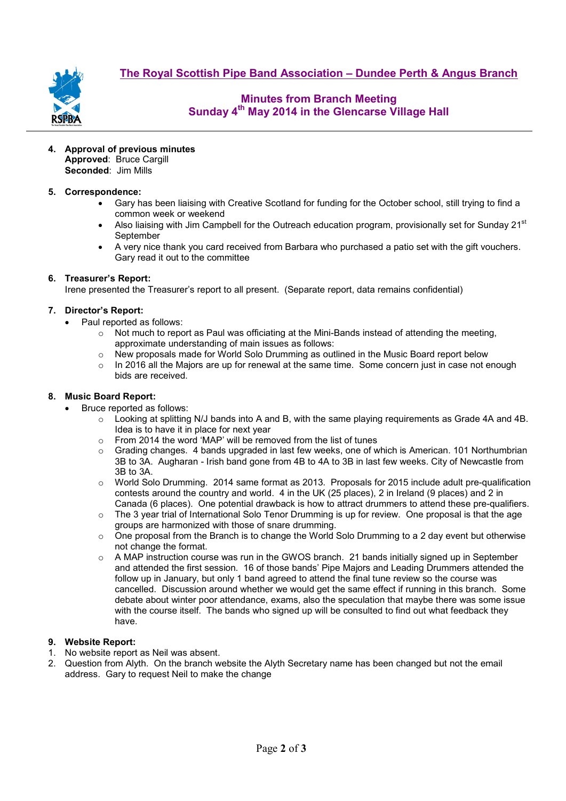

**The Royal Scottish Pipe Band Association – Dundee Perth & Angus Branch**

# **Minutes from Branch Meeting Sunday 4th May 2014 in the Glencarse Village Hall**

**4. Approval of previous minutes Approved**: Bruce Cargill **Seconded**: Jim Mills

## **5. Correspondence:**

- Gary has been liaising with Creative Scotland for funding for the October school, still trying to find a common week or weekend
- Also liaising with Jim Campbell for the Outreach education program, provisionally set for Sunday 21<sup>st</sup> **September**
- A very nice thank you card received from Barbara who purchased a patio set with the gift vouchers. Gary read it out to the committee

## **6. Treasurer's Report:**

Irene presented the Treasurer's report to all present. (Separate report, data remains confidential)

#### **7. Director's Report:**

- Paul reported as follows:
	- $\circ$  Not much to report as Paul was officiating at the Mini-Bands instead of attending the meeting, approximate understanding of main issues as follows:
	- $\circ$  New proposals made for World Solo Drumming as outlined in the Music Board report below
	- $\circ$  In 2016 all the Majors are up for renewal at the same time. Some concern just in case not enough bids are received.

### **8. Music Board Report:**

- Bruce reported as follows:
	- $\circ$  Looking at splitting N/J bands into A and B, with the same playing requirements as Grade 4A and 4B. Idea is to have it in place for next year
	- o From 2014 the word 'MAP' will be removed from the list of tunes
	- $\circ$  Grading changes. 4 bands upgraded in last few weeks, one of which is American. 101 Northumbrian 3B to 3A. Augharan - Irish band gone from 4B to 4A to 3B in last few weeks. City of Newcastle from 3B to 3A.
	- o World Solo Drumming. 2014 same format as 2013. Proposals for 2015 include adult pre-qualification contests around the country and world. 4 in the UK (25 places), 2 in Ireland (9 places) and 2 in Canada (6 places). One potential drawback is how to attract drummers to attend these pre-qualifiers.
	- $\circ$  The 3 year trial of International Solo Tenor Drumming is up for review. One proposal is that the age groups are harmonized with those of snare drumming.
	- $\circ$  One proposal from the Branch is to change the World Solo Drumming to a 2 day event but otherwise not change the format.
	- $\circ$  A MAP instruction course was run in the GWOS branch. 21 bands initially signed up in September and attended the first session. 16 of those bands' Pipe Majors and Leading Drummers attended the follow up in January, but only 1 band agreed to attend the final tune review so the course was cancelled. Discussion around whether we would get the same effect if running in this branch. Some debate about winter poor attendance, exams, also the speculation that maybe there was some issue with the course itself. The bands who signed up will be consulted to find out what feedback they have.

## **9. Website Report:**

- 1. No website report as Neil was absent.
- 2. Question from Alyth. On the branch website the Alyth Secretary name has been changed but not the email address. Gary to request Neil to make the change